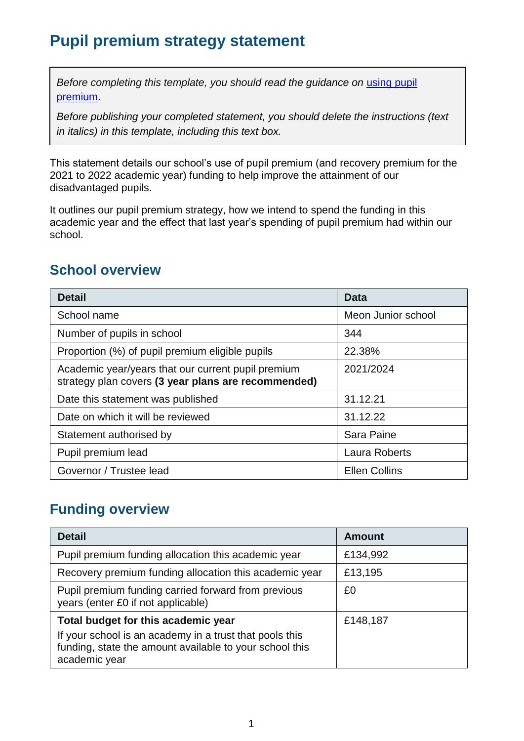# **Pupil premium strategy statement**

*Before completing this template, you should read the guidance on using pupil* [premium.](https://www.gov.uk/guidance/pupil-premium-effective-use-and-accountability#online-statements)

*Before publishing your completed statement, you should delete the instructions (text in italics) in this template, including this text box.*

This statement details our school's use of pupil premium (and recovery premium for the 2021 to 2022 academic year) funding to help improve the attainment of our disadvantaged pupils.

It outlines our pupil premium strategy, how we intend to spend the funding in this academic year and the effect that last year's spending of pupil premium had within our school.

#### **School overview**

| <b>Detail</b>                                                                                             | Data                 |
|-----------------------------------------------------------------------------------------------------------|----------------------|
| School name                                                                                               | Meon Junior school   |
| Number of pupils in school                                                                                | 344                  |
| Proportion (%) of pupil premium eligible pupils                                                           | 22.38%               |
| Academic year/years that our current pupil premium<br>strategy plan covers (3 year plans are recommended) | 2021/2024            |
| Date this statement was published                                                                         | 31.12.21             |
| Date on which it will be reviewed                                                                         | 31.12.22             |
| Statement authorised by                                                                                   | Sara Paine           |
| Pupil premium lead                                                                                        | Laura Roberts        |
| Governor / Trustee lead                                                                                   | <b>Ellen Collins</b> |

## **Funding overview**

| <b>Detail</b>                                                                                                                                                              | <b>Amount</b> |
|----------------------------------------------------------------------------------------------------------------------------------------------------------------------------|---------------|
| Pupil premium funding allocation this academic year                                                                                                                        | £134,992      |
| Recovery premium funding allocation this academic year                                                                                                                     | £13,195       |
| Pupil premium funding carried forward from previous<br>years (enter £0 if not applicable)                                                                                  | £0            |
| Total budget for this academic year<br>If your school is an academy in a trust that pools this<br>funding, state the amount available to your school this<br>academic year | £148,187      |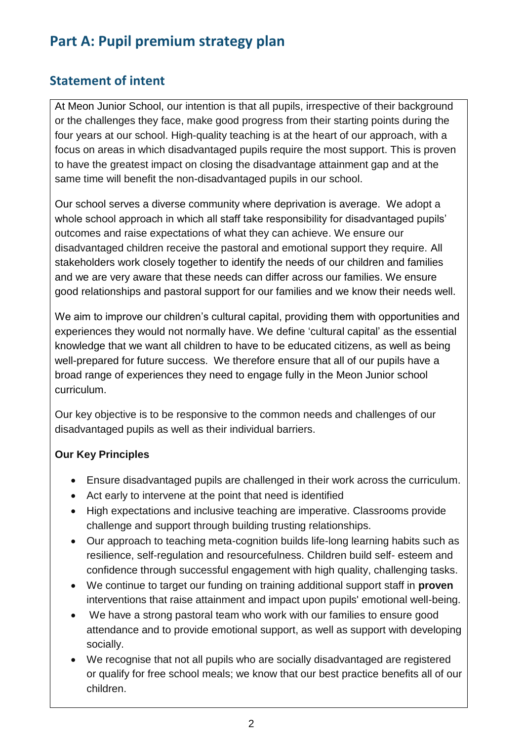# **Part A: Pupil premium strategy plan**

#### **Statement of intent**

At Meon Junior School, our intention is that all pupils, irrespective of their background or the challenges they face, make good progress from their starting points during the four years at our school. High-quality teaching is at the heart of our approach, with a focus on areas in which disadvantaged pupils require the most support. This is proven to have the greatest impact on closing the disadvantage attainment gap and at the same time will benefit the non-disadvantaged pupils in our school.

Our school serves a diverse community where deprivation is average. We adopt a whole school approach in which all staff take responsibility for disadvantaged pupils' outcomes and raise expectations of what they can achieve. We ensure our disadvantaged children receive the pastoral and emotional support they require. All stakeholders work closely together to identify the needs of our children and families and we are very aware that these needs can differ across our families. We ensure good relationships and pastoral support for our families and we know their needs well.

We aim to improve our children's cultural capital, providing them with opportunities and experiences they would not normally have. We define 'cultural capital' as the essential knowledge that we want all children to have to be educated citizens, as well as being well-prepared for future success. We therefore ensure that all of our pupils have a broad range of experiences they need to engage fully in the Meon Junior school curriculum.

Our key objective is to be responsive to the common needs and challenges of our disadvantaged pupils as well as their individual barriers.

#### **Our Key Principles**

- Ensure disadvantaged pupils are challenged in their work across the curriculum.
- Act early to intervene at the point that need is identified
- High expectations and inclusive teaching are imperative. Classrooms provide challenge and support through building trusting relationships.
- Our approach to teaching meta-cognition builds life-long learning habits such as resilience, self-regulation and resourcefulness. Children build self- esteem and confidence through successful engagement with high quality, challenging tasks.
- We continue to target our funding on training additional support staff in **proven**  interventions that raise attainment and impact upon pupils' emotional well-being.
- We have a strong pastoral team who work with our families to ensure good attendance and to provide emotional support, as well as support with developing socially.
- We recognise that not all pupils who are socially disadvantaged are registered or qualify for free school meals; we know that our best practice benefits all of our children.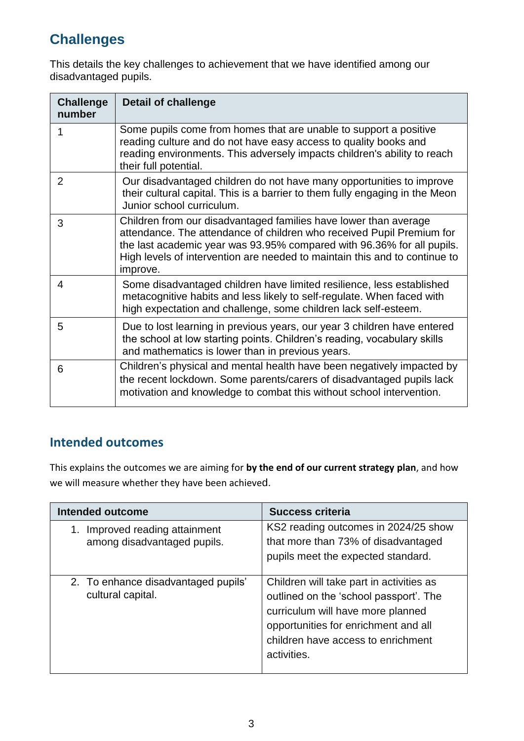# **Challenges**

This details the key challenges to achievement that we have identified among our disadvantaged pupils.

| <b>Challenge</b><br>number | <b>Detail of challenge</b>                                                                                                                                                                                                                                                                                    |
|----------------------------|---------------------------------------------------------------------------------------------------------------------------------------------------------------------------------------------------------------------------------------------------------------------------------------------------------------|
| 1                          | Some pupils come from homes that are unable to support a positive<br>reading culture and do not have easy access to quality books and<br>reading environments. This adversely impacts children's ability to reach<br>their full potential.                                                                    |
| 2                          | Our disadvantaged children do not have many opportunities to improve<br>their cultural capital. This is a barrier to them fully engaging in the Meon<br>Junior school curriculum.                                                                                                                             |
| 3                          | Children from our disadvantaged families have lower than average<br>attendance. The attendance of children who received Pupil Premium for<br>the last academic year was 93.95% compared with 96.36% for all pupils.<br>High levels of intervention are needed to maintain this and to continue to<br>improve. |
| 4                          | Some disadvantaged children have limited resilience, less established<br>metacognitive habits and less likely to self-regulate. When faced with<br>high expectation and challenge, some children lack self-esteem.                                                                                            |
| 5                          | Due to lost learning in previous years, our year 3 children have entered<br>the school at low starting points. Children's reading, vocabulary skills<br>and mathematics is lower than in previous years.                                                                                                      |
| 6                          | Children's physical and mental health have been negatively impacted by<br>the recent lockdown. Some parents/carers of disadvantaged pupils lack<br>motivation and knowledge to combat this without school intervention.                                                                                       |

#### **Intended outcomes**

This explains the outcomes we are aiming for **by the end of our current strategy plan**, and how we will measure whether they have been achieved.

| <b>Intended outcome</b>                                       | <b>Success criteria</b>                                                                                                                                                                                              |
|---------------------------------------------------------------|----------------------------------------------------------------------------------------------------------------------------------------------------------------------------------------------------------------------|
| 1. Improved reading attainment<br>among disadvantaged pupils. | KS2 reading outcomes in 2024/25 show<br>that more than 73% of disadvantaged<br>pupils meet the expected standard.                                                                                                    |
| 2. To enhance disadvantaged pupils'<br>cultural capital.      | Children will take part in activities as<br>outlined on the 'school passport'. The<br>curriculum will have more planned<br>opportunities for enrichment and all<br>children have access to enrichment<br>activities. |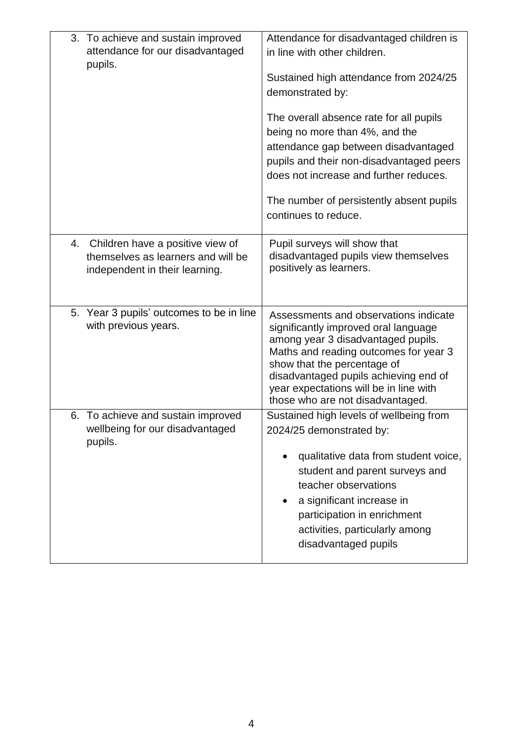| 3. To achieve and sustain improved<br>attendance for our disadvantaged<br>pupils.                           | Attendance for disadvantaged children is<br>in line with other children.<br>Sustained high attendance from 2024/25<br>demonstrated by:<br>The overall absence rate for all pupils<br>being no more than 4%, and the<br>attendance gap between disadvantaged<br>pupils and their non-disadvantaged peers<br>does not increase and further reduces.<br>The number of persistently absent pupils<br>continues to reduce. |
|-------------------------------------------------------------------------------------------------------------|-----------------------------------------------------------------------------------------------------------------------------------------------------------------------------------------------------------------------------------------------------------------------------------------------------------------------------------------------------------------------------------------------------------------------|
| 4. Children have a positive view of<br>themselves as learners and will be<br>independent in their learning. | Pupil surveys will show that<br>disadvantaged pupils view themselves<br>positively as learners.                                                                                                                                                                                                                                                                                                                       |
| 5. Year 3 pupils' outcomes to be in line<br>with previous years.                                            | Assessments and observations indicate<br>significantly improved oral language<br>among year 3 disadvantaged pupils.<br>Maths and reading outcomes for year 3<br>show that the percentage of<br>disadvantaged pupils achieving end of<br>year expectations will be in line with<br>those who are not disadvantaged.                                                                                                    |
| 6. To achieve and sustain improved<br>wellbeing for our disadvantaged<br>pupils.                            | Sustained high levels of wellbeing from<br>2024/25 demonstrated by:<br>qualitative data from student voice,<br>student and parent surveys and<br>teacher observations<br>a significant increase in<br>$\bullet$<br>participation in enrichment<br>activities, particularly among<br>disadvantaged pupils                                                                                                              |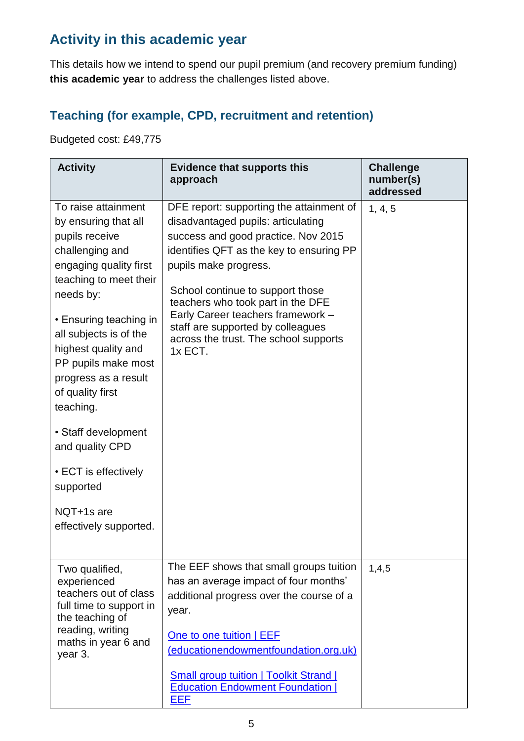# **Activity in this academic year**

This details how we intend to spend our pupil premium (and recovery premium funding) **this academic year** to address the challenges listed above.

#### **Teaching (for example, CPD, recruitment and retention)**

Budgeted cost: £49,775

| <b>Activity</b>                                                                                                                                                                                                                                                                                              | <b>Evidence that supports this</b><br>approach                                                                                                                                                                                                                                                                                                                                                    | <b>Challenge</b><br>number(s)<br>addressed |
|--------------------------------------------------------------------------------------------------------------------------------------------------------------------------------------------------------------------------------------------------------------------------------------------------------------|---------------------------------------------------------------------------------------------------------------------------------------------------------------------------------------------------------------------------------------------------------------------------------------------------------------------------------------------------------------------------------------------------|--------------------------------------------|
| To raise attainment<br>by ensuring that all<br>pupils receive<br>challenging and<br>engaging quality first<br>teaching to meet their<br>needs by:<br>• Ensuring teaching in<br>all subjects is of the<br>highest quality and<br>PP pupils make most<br>progress as a result<br>of quality first<br>teaching. | DFE report: supporting the attainment of<br>disadvantaged pupils: articulating<br>success and good practice. Nov 2015<br>identifies QFT as the key to ensuring PP<br>pupils make progress.<br>School continue to support those<br>teachers who took part in the DFE<br>Early Career teachers framework -<br>staff are supported by colleagues<br>across the trust. The school supports<br>1x ECT. | 1, 4, 5                                    |
| • Staff development<br>and quality CPD<br>• ECT is effectively<br>supported                                                                                                                                                                                                                                  |                                                                                                                                                                                                                                                                                                                                                                                                   |                                            |
| NQT+1s are<br>effectively supported.                                                                                                                                                                                                                                                                         |                                                                                                                                                                                                                                                                                                                                                                                                   |                                            |
| Two qualified,<br>experienced<br>teachers out of class<br>full time to support in<br>the teaching of<br>reading, writing<br>maths in year 6 and<br>year 3.                                                                                                                                                   | The EEF shows that small groups tuition<br>has an average impact of four months'<br>additional progress over the course of a<br>year.<br>One to one tuition   EEF<br>(educationendowmentfoundation.org.uk)<br><b>Small group tuition   Toolkit Strand  </b><br><b>Education Endowment Foundation</b><br>EEF                                                                                       | 1,4,5                                      |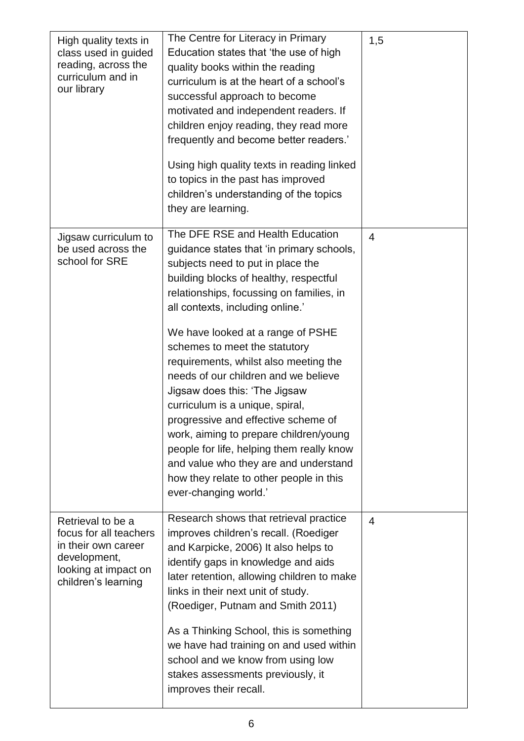| High quality texts in<br>class used in guided<br>reading, across the<br>curriculum and in<br>our library                          | The Centre for Literacy in Primary<br>Education states that 'the use of high<br>quality books within the reading<br>curriculum is at the heart of a school's<br>successful approach to become<br>motivated and independent readers. If<br>children enjoy reading, they read more<br>frequently and become better readers.'<br>Using high quality texts in reading linked<br>to topics in the past has improved<br>children's understanding of the topics<br>they are learning.                                                                                                                                                                                                                                     | 1,5            |
|-----------------------------------------------------------------------------------------------------------------------------------|--------------------------------------------------------------------------------------------------------------------------------------------------------------------------------------------------------------------------------------------------------------------------------------------------------------------------------------------------------------------------------------------------------------------------------------------------------------------------------------------------------------------------------------------------------------------------------------------------------------------------------------------------------------------------------------------------------------------|----------------|
| Jigsaw curriculum to<br>be used across the<br>school for SRE                                                                      | The DFE RSE and Health Education<br>guidance states that 'in primary schools,<br>subjects need to put in place the<br>building blocks of healthy, respectful<br>relationships, focussing on families, in<br>all contexts, including online.'<br>We have looked at a range of PSHE<br>schemes to meet the statutory<br>requirements, whilst also meeting the<br>needs of our children and we believe<br>Jigsaw does this: 'The Jigsaw<br>curriculum is a unique, spiral,<br>progressive and effective scheme of<br>work, aiming to prepare children/young<br>people for life, helping them really know<br>and value who they are and understand<br>how they relate to other people in this<br>ever-changing world.' | $\overline{4}$ |
| Retrieval to be a<br>focus for all teachers<br>in their own career<br>development,<br>looking at impact on<br>children's learning | Research shows that retrieval practice<br>improves children's recall. (Roediger<br>and Karpicke, 2006) It also helps to<br>identify gaps in knowledge and aids<br>later retention, allowing children to make<br>links in their next unit of study.<br>(Roediger, Putnam and Smith 2011)<br>As a Thinking School, this is something<br>we have had training on and used within<br>school and we know from using low<br>stakes assessments previously, it<br>improves their recall.                                                                                                                                                                                                                                  | $\overline{4}$ |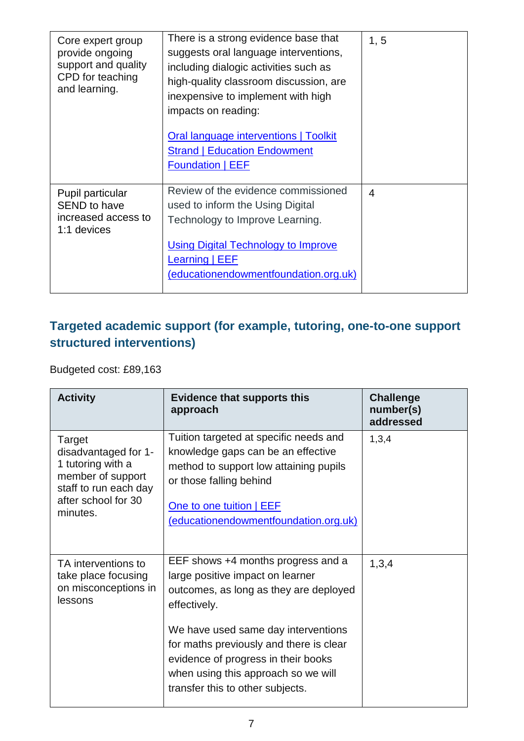| Core expert group<br>provide ongoing<br>support and quality<br>CPD for teaching<br>and learning. | There is a strong evidence base that<br>suggests oral language interventions,<br>including dialogic activities such as<br>high-quality classroom discussion, are<br>inexpensive to implement with high<br>impacts on reading:<br><b>Oral language interventions   Toolkit</b><br><b>Strand   Education Endowment</b><br><b>Foundation   EEF</b> | 1, 5           |
|--------------------------------------------------------------------------------------------------|-------------------------------------------------------------------------------------------------------------------------------------------------------------------------------------------------------------------------------------------------------------------------------------------------------------------------------------------------|----------------|
| Pupil particular<br><b>SEND to have</b><br>increased access to<br>1:1 devices                    | Review of the evidence commissioned<br>used to inform the Using Digital<br>Technology to Improve Learning.<br><b>Using Digital Technology to Improve</b><br><b>Learning   EEF</b><br>(educationendowmentfoundation.org.uk)                                                                                                                      | $\overline{4}$ |

## **Targeted academic support (for example, tutoring, one-to-one support structured interventions)**

Budgeted cost: £89,163

| <b>Activity</b>                                                                                                                      | <b>Evidence that supports this</b><br>approach                                                                                                                                                                                                                                                                                       | <b>Challenge</b><br>number(s)<br>addressed |
|--------------------------------------------------------------------------------------------------------------------------------------|--------------------------------------------------------------------------------------------------------------------------------------------------------------------------------------------------------------------------------------------------------------------------------------------------------------------------------------|--------------------------------------------|
| Target<br>disadvantaged for 1-<br>1 tutoring with a<br>member of support<br>staff to run each day<br>after school for 30<br>minutes. | Tuition targeted at specific needs and<br>knowledge gaps can be an effective<br>method to support low attaining pupils<br>or those falling behind<br>One to one tuition   EEF<br>(educationendowmentfoundation.org.uk)                                                                                                               | 1,3,4                                      |
| TA interventions to<br>take place focusing<br>on misconceptions in<br>lessons                                                        | EEF shows +4 months progress and a<br>large positive impact on learner<br>outcomes, as long as they are deployed<br>effectively.<br>We have used same day interventions<br>for maths previously and there is clear<br>evidence of progress in their books<br>when using this approach so we will<br>transfer this to other subjects. | 1,3,4                                      |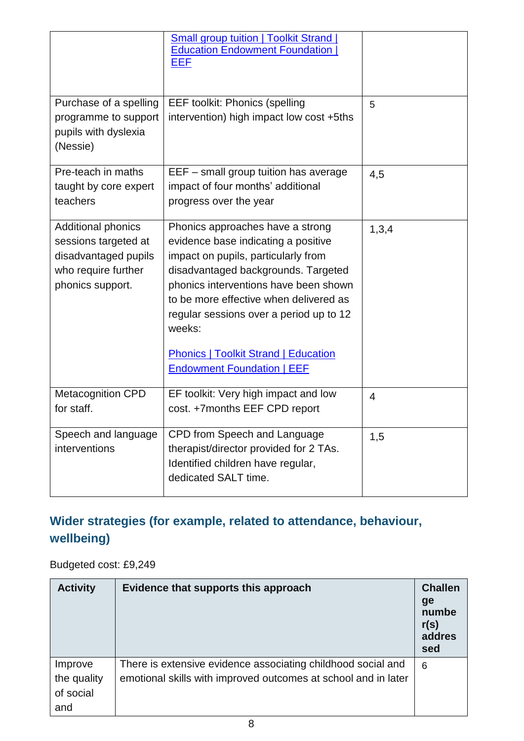|                                                                                                               | <b>Small group tuition   Toolkit Strand  </b><br><b>Education Endowment Foundation</b><br>EEF                                                                                                                                                                                                                                                                                     |                |
|---------------------------------------------------------------------------------------------------------------|-----------------------------------------------------------------------------------------------------------------------------------------------------------------------------------------------------------------------------------------------------------------------------------------------------------------------------------------------------------------------------------|----------------|
| Purchase of a spelling<br>programme to support<br>pupils with dyslexia<br>(Nessie)                            | <b>EEF toolkit: Phonics (spelling</b><br>intervention) high impact low cost +5ths                                                                                                                                                                                                                                                                                                 | 5              |
| Pre-teach in maths<br>taught by core expert<br>teachers                                                       | EEF - small group tuition has average<br>impact of four months' additional<br>progress over the year                                                                                                                                                                                                                                                                              | 4,5            |
| Additional phonics<br>sessions targeted at<br>disadvantaged pupils<br>who require further<br>phonics support. | Phonics approaches have a strong<br>evidence base indicating a positive<br>impact on pupils, particularly from<br>disadvantaged backgrounds. Targeted<br>phonics interventions have been shown<br>to be more effective when delivered as<br>regular sessions over a period up to 12<br>weeks:<br><b>Phonics   Toolkit Strand   Education</b><br><b>Endowment Foundation   EEF</b> | 1,3,4          |
| <b>Metacognition CPD</b><br>for staff.                                                                        | EF toolkit: Very high impact and low<br>cost. +7months EEF CPD report                                                                                                                                                                                                                                                                                                             | $\overline{4}$ |
| Speech and language<br>interventions                                                                          | CPD from Speech and Language<br>therapist/director provided for 2 TAs.<br>Identified children have regular,<br>dedicated SALT time.                                                                                                                                                                                                                                               | 1,5            |

## **Wider strategies (for example, related to attendance, behaviour, wellbeing)**

Budgeted cost: £9,249

| <b>Activity</b>                            | Evidence that supports this approach                                                                                           | <b>Challen</b><br>ge<br>numbe<br>r(s)<br>addres<br>sed |
|--------------------------------------------|--------------------------------------------------------------------------------------------------------------------------------|--------------------------------------------------------|
| Improve<br>the quality<br>of social<br>and | There is extensive evidence associating childhood social and<br>emotional skills with improved outcomes at school and in later | 6                                                      |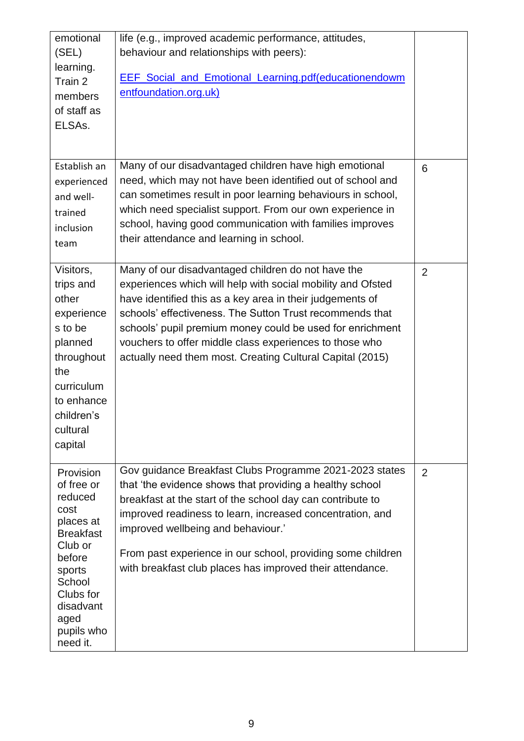| emotional<br>(SEL)<br>learning.<br>Train 2<br>members<br>of staff as<br>ELSAs.                                                                                                   | life (e.g., improved academic performance, attitudes,<br>behaviour and relationships with peers):<br><b>EEF</b> Social and Emotional Learning.pdf(educationendowm<br>entfoundation.org.uk)                                                                                                                                                                                                                                      |                |
|----------------------------------------------------------------------------------------------------------------------------------------------------------------------------------|---------------------------------------------------------------------------------------------------------------------------------------------------------------------------------------------------------------------------------------------------------------------------------------------------------------------------------------------------------------------------------------------------------------------------------|----------------|
| Establish an<br>experienced<br>and well-<br>trained<br>inclusion<br>team                                                                                                         | Many of our disadvantaged children have high emotional<br>need, which may not have been identified out of school and<br>can sometimes result in poor learning behaviours in school,<br>which need specialist support. From our own experience in<br>school, having good communication with families improves<br>their attendance and learning in school.                                                                        | 6              |
| Visitors,<br>trips and<br>other<br>experience<br>s to be<br>planned<br>throughout<br>the<br>curriculum<br>to enhance<br>children's<br>cultural<br>capital                        | Many of our disadvantaged children do not have the<br>experiences which will help with social mobility and Ofsted<br>have identified this as a key area in their judgements of<br>schools' effectiveness. The Sutton Trust recommends that<br>schools' pupil premium money could be used for enrichment<br>vouchers to offer middle class experiences to those who<br>actually need them most. Creating Cultural Capital (2015) | $\overline{2}$ |
| Provision<br>of free or<br>reduced<br>cost<br>places at<br><b>Breakfast</b><br>Club or<br>before<br>sports<br>School<br>Clubs for<br>disadvant<br>aged<br>pupils who<br>need it. | Gov guidance Breakfast Clubs Programme 2021-2023 states<br>that 'the evidence shows that providing a healthy school<br>breakfast at the start of the school day can contribute to<br>improved readiness to learn, increased concentration, and<br>improved wellbeing and behaviour.'<br>From past experience in our school, providing some children<br>with breakfast club places has improved their attendance.                | $\overline{2}$ |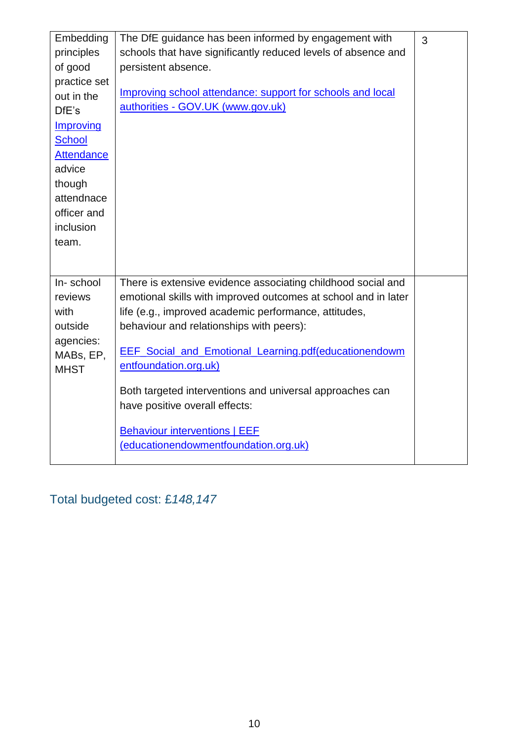| Embedding         | The DfE guidance has been informed by engagement with          | 3 |
|-------------------|----------------------------------------------------------------|---|
| principles        | schools that have significantly reduced levels of absence and  |   |
| of good           | persistent absence.                                            |   |
| practice set      |                                                                |   |
| out in the        | Improving school attendance: support for schools and local     |   |
| DfE's             | authorities - GOV.UK (www.gov.uk)                              |   |
| Improving         |                                                                |   |
| <b>School</b>     |                                                                |   |
| <b>Attendance</b> |                                                                |   |
| advice            |                                                                |   |
| though            |                                                                |   |
| attendnace        |                                                                |   |
| officer and       |                                                                |   |
| inclusion         |                                                                |   |
| team.             |                                                                |   |
|                   |                                                                |   |
|                   |                                                                |   |
| In-school         | There is extensive evidence associating childhood social and   |   |
| reviews           | emotional skills with improved outcomes at school and in later |   |
| with              | life (e.g., improved academic performance, attitudes,          |   |
| outside           | behaviour and relationships with peers):                       |   |
| agencies:         | <b>EEF</b> Social and Emotional Learning.pdf(educationendowm   |   |
| MABs, EP,         | entfoundation.org.uk)                                          |   |
| <b>MHST</b>       |                                                                |   |
|                   | Both targeted interventions and universal approaches can       |   |
|                   | have positive overall effects:                                 |   |
|                   |                                                                |   |
|                   | <b>Behaviour interventions   EEF</b>                           |   |
|                   | (educationendowmentfoundation.org.uk)                          |   |
|                   |                                                                |   |

Total budgeted cost: £*148,147*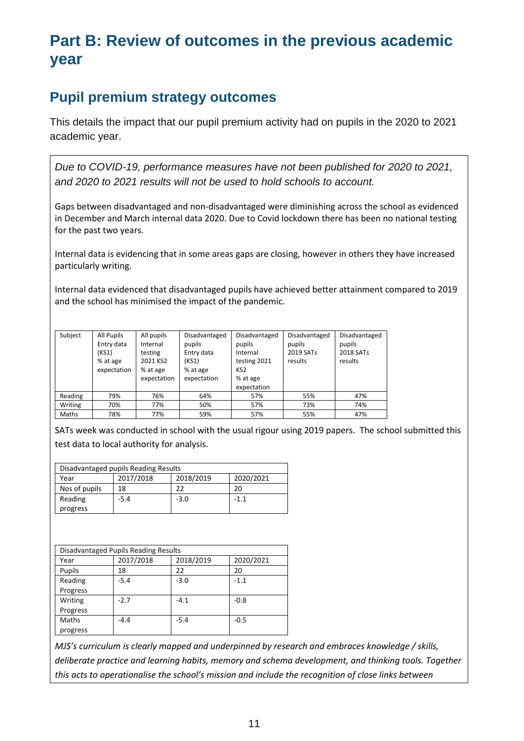# **Part B: Review of outcomes in the previous academic year**

## **Pupil premium strategy outcomes**

This details the impact that our pupil premium activity had on pupils in the 2020 to 2021 academic year.

*Due to COVID-19, performance measures have not been published for 2020 to 2021, and 2020 to 2021 results will not be used to hold schools to account.*

Gaps between disadvantaged and non-disadvantaged were diminishing across the school as evidenced in December and March internal data 2020. Due to Covid lockdown there has been no national testing for the past two years.

Internal data is evidencing that in some areas gaps are closing, however in others they have increased particularly writing.

Internal data evidenced that disadvantaged pupils have achieved better attainment compared to 2019 and the school has minimised the impact of the pandemic.

| Subject | All Pupils<br>Entry data<br>(KS1)<br>% at age<br>expectation | All pupils<br>Internal<br>testing<br>2021 KS2<br>% at age | Disadvantaged<br>pupils<br>Entry data<br>(KS1)<br>% at age | Disadvantaged<br>pupils<br>Internal<br>testing 2021<br>KS <sub>2</sub> | Disadvantaged<br>pupils<br>2019 SATs<br>results | Disadvantaged<br>pupils<br>2018 SATs<br>results |
|---------|--------------------------------------------------------------|-----------------------------------------------------------|------------------------------------------------------------|------------------------------------------------------------------------|-------------------------------------------------|-------------------------------------------------|
|         |                                                              | expectation                                               | expectation                                                | % at age<br>expectation                                                |                                                 |                                                 |
| Reading | 79%                                                          | 76%                                                       | 64%                                                        | 57%                                                                    | 55%                                             | 47%                                             |
| Writing | 70%                                                          | 77%                                                       | 50%                                                        | 57%                                                                    | 73%                                             | 74%                                             |
| Maths   | 78%                                                          | 77%                                                       | 59%                                                        | 57%                                                                    | 55%                                             | 47%                                             |

SATs week was conducted in school with the usual rigour using 2019 papers. The school submitted this test data to local authority for analysis.

| Disadvantaged pupils Reading Results |           |           |           |
|--------------------------------------|-----------|-----------|-----------|
| Year                                 | 2017/2018 | 2018/2019 | 2020/2021 |
| Nos of pupils                        | 18        | つつ        | 20        |
| Reading                              | $-5.4$    | $-3.0$    | $-1.1$    |
| progress                             |           |           |           |

| Disadvantaged Pupils Reading Results |           |           |           |
|--------------------------------------|-----------|-----------|-----------|
| Year                                 | 2017/2018 | 2018/2019 | 2020/2021 |
| Pupils                               | 18        | 22        | 20        |
| Reading                              | $-5.4$    | $-3.0$    | $-1.1$    |
| Progress                             |           |           |           |
| Writing                              | $-2.7$    | $-4.1$    | $-0.8$    |
| Progress                             |           |           |           |
| Maths                                | $-4.4$    | $-5.4$    | $-0.5$    |
| progress                             |           |           |           |

*MJS's curriculum is clearly mapped and underpinned by research and embraces knowledge / skills, deliberate practice and learning habits, memory and schema development, and thinking tools. Together this acts to operationalise the school's mission and include the recognition of close links between*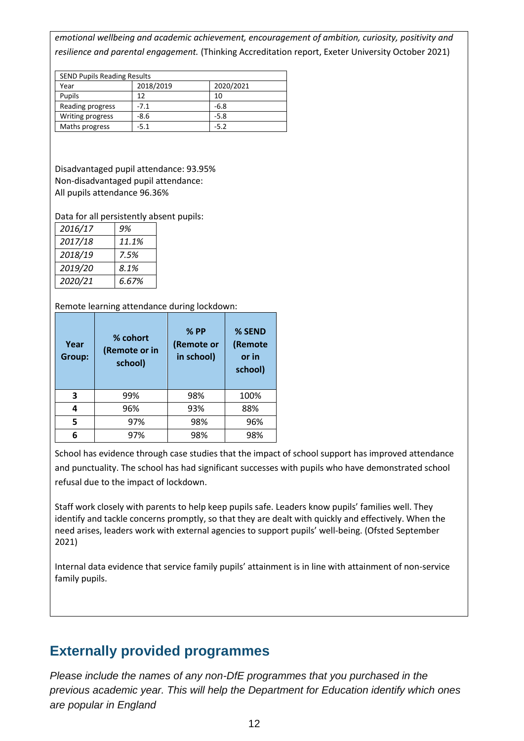*emotional wellbeing and academic achievement, encouragement of ambition, curiosity, positivity and resilience and parental engagement.* (Thinking Accreditation report, Exeter University October 2021)

| <b>SEND Pupils Reading Results</b> |           |           |  |
|------------------------------------|-----------|-----------|--|
| Year                               | 2018/2019 | 2020/2021 |  |
| Pupils                             | 12        | 10        |  |
| Reading progress                   | $-7.1$    | $-6.8$    |  |
| Writing progress                   | $-8.6$    | $-5.8$    |  |
| Maths progress                     | $-5.1$    | $-5.2$    |  |

Disadvantaged pupil attendance: 93.95% Non-disadvantaged pupil attendance: All pupils attendance 96.36%

Data for all persistently absent pupils:

| 2016/17 | 9%    |
|---------|-------|
| 2017/18 | 11.1% |
| 2018/19 | 7.5%  |
| 2019/20 | 8.1%  |
| 2020/21 | 6.67% |

Remote learning attendance during lockdown:

| Year<br>Group: | % cohort<br>(Remote or in<br>school) | $%$ PP<br>(Remote or<br>in school) | % SEND<br>(Remote<br>or in<br>school) |
|----------------|--------------------------------------|------------------------------------|---------------------------------------|
| 3              | 99%                                  | 98%                                | 100%                                  |
| 4              | 96%                                  | 93%                                | 88%                                   |
| 5              | 97%                                  | 98%                                | 96%                                   |
| 6              | 97%                                  | 98%                                | 98%                                   |

School has evidence through case studies that the impact of school support has improved attendance and punctuality. The school has had significant successes with pupils who have demonstrated school refusal due to the impact of lockdown.

Staff work closely with parents to help keep pupils safe. Leaders know pupils' families well. They identify and tackle concerns promptly, so that they are dealt with quickly and effectively. When the need arises, leaders work with external agencies to support pupils' well-being. (Ofsted September 2021)

Internal data evidence that service family pupils' attainment is in line with attainment of non-service family pupils.

#### **Externally provided programmes**

*Please include the names of any non-DfE programmes that you purchased in the previous academic year. This will help the Department for Education identify which ones are popular in England*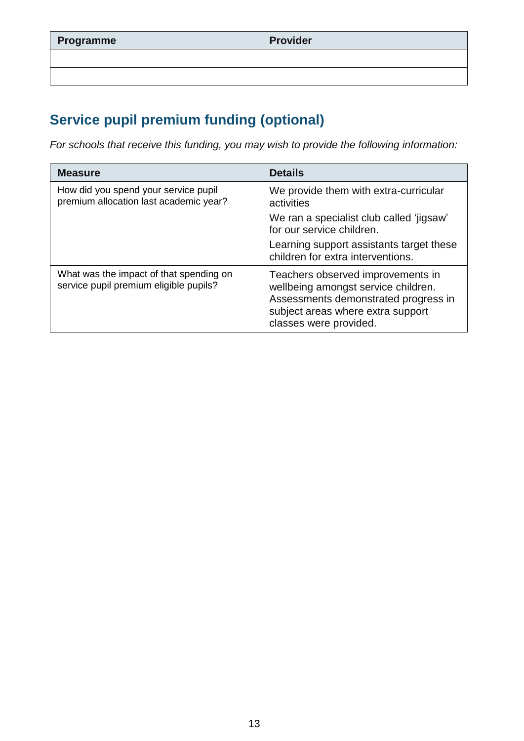| Programme | <b>Provider</b> |
|-----------|-----------------|
|           |                 |
|           |                 |

# **Service pupil premium funding (optional)**

*For schools that receive this funding, you may wish to provide the following information:* 

| <b>Measure</b>                                                                    | <b>Details</b>                                                                                                                                                                  |
|-----------------------------------------------------------------------------------|---------------------------------------------------------------------------------------------------------------------------------------------------------------------------------|
| How did you spend your service pupil<br>premium allocation last academic year?    | We provide them with extra-curricular<br>activities                                                                                                                             |
|                                                                                   | We ran a specialist club called 'jigsaw'<br>for our service children.                                                                                                           |
|                                                                                   | Learning support assistants target these<br>children for extra interventions.                                                                                                   |
| What was the impact of that spending on<br>service pupil premium eligible pupils? | Teachers observed improvements in<br>wellbeing amongst service children.<br>Assessments demonstrated progress in<br>subject areas where extra support<br>classes were provided. |